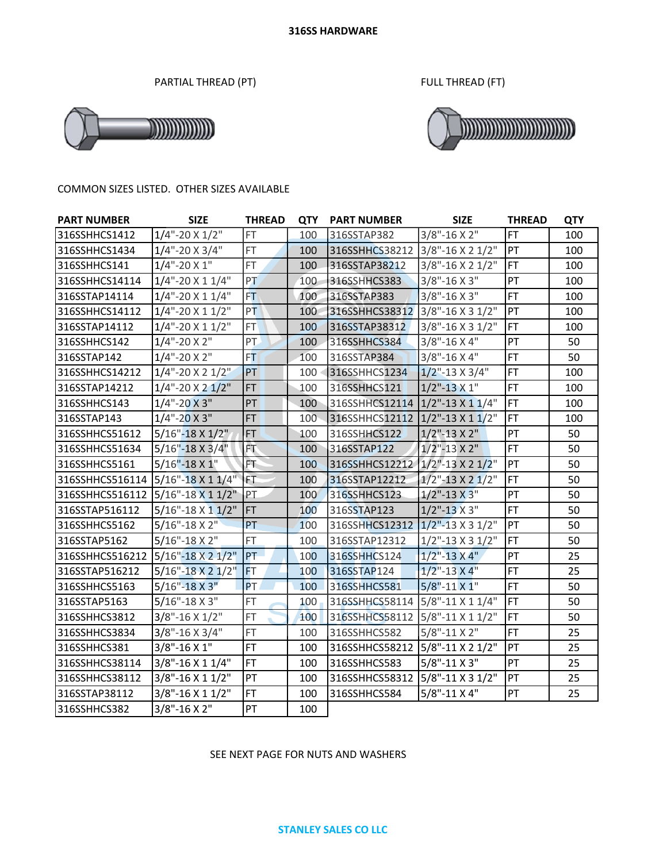PARTIAL THREAD (PT) FULL THREAD (FT)





#### COMMON SIZES LISTED. OTHER SIZES AVAILABLE

| <b>PART NUMBER</b>                | <b>SIZE</b>              | <b>THREAD</b> | <b>QTY</b>       | <b>PART NUMBER</b>              | <b>SIZE</b>            | <b>THREAD</b> | <b>QTY</b> |
|-----------------------------------|--------------------------|---------------|------------------|---------------------------------|------------------------|---------------|------------|
| 316SSHHCS1412                     | $1/4$ "-20 X $1/2$ "     | <b>FT</b>     | 100              | 316SSTAP382                     | $3/8$ "-16 X 2"        | <b>FT</b>     | 100        |
| 316SSHHCS1434                     | $1/4$ "-20 X 3/4"        | FT            | 100              | 316SSHHCS38212 3/8"-16 X 2 1/2" |                        | PT            | 100        |
| 316SSHHCS141                      | $1/4$ "-20 X 1"          | <b>FT</b>     | 100              | 316SSTAP38212                   | 3/8"-16 X 2 1/2"       | <b>FT</b>     | 100        |
| 316SSHHCS14114                    | $1/4$ "-20 X 1 $1/4$ "   | PT            | 100              | 316SSHHCS383                    | $3/8$ "-16 X 3"        | PT            | 100        |
| 316SSTAP14114                     | $1/4$ "-20 X 1 $1/4$ "   | FT.           | 100              | 316SSTAP383                     | $3/8$ "-16 X 3"        | FT            | 100        |
| 316SSHHCS14112                    | $1/4$ "-20 X 1 $1/2$ "   | PT            | 100              | 316SSHHCS38312 3/8"-16 X 3 1/2" |                        | PT            | 100        |
| 316SSTAP14112                     | $1/4$ "-20 X 1 $1/2$ "   | <b>FT</b>     | 100              | 316SSTAP38312                   | 3/8"-16 X 3 1/2"       | <b>FT</b>     | 100        |
| 316SSHHCS142                      | $1/4$ "-20 X 2"          | PT            | 100              | 316SSHHCS384                    | $3/8$ "-16 X 4"        | PT            | 50         |
| 316SSTAP142                       | $1/4$ "-20 X 2"          | FT.           | 100              | 316SSTAP384                     | 3/8"-16 X 4"           | <b>FT</b>     | 50         |
| 316SSHHCS14212                    | $1/4$ "-20 X 2 $1/2$ "   | PT            | 100 <sub>1</sub> | 316SSHHCS1234                   | $1/2$ "-13 X 3/4"      | <b>FT</b>     | 100        |
| 316SSTAP14212                     | $1/4$ "-20 X 2 $1/2$ "   | <b>FT</b>     | 100              | 316SSHHCS121                    | $1/2$ "-13 X 1"        | <b>FT</b>     | 100        |
| 316SSHHCS143                      | $1/4$ "-20 X 3"          | PT            | 100              | 316SSHHCS12114 1/2"-13 X 1 1/4" |                        | FT            | 100        |
| 316SSTAP143                       | $1/4$ "-20 X 3"          | <b>FT</b>     | 100              | 316SSHHCS12112 1/2"-13 X 1 1/2" |                        | <b>FT</b>     | 100        |
| 316SSHHCS51612                    | $5/16" - 18 \times 1/2"$ | FT            | 100              | 316SSHHCS122                    | $1/2$ "-13 X 2"        | PT            | 50         |
| 316SSHHCS51634                    | $5/16" - 18 \times 3/4"$ | FT            | 100              | 316SSTAP122                     | $1/2$ "-13 X 2"        | FT            | 50         |
| 316SSHHCS5161                     | $5/16" - 18X1"$          | FT            | 100              | 316SSHHCS12212 1/2"-13 X 2 1/2" |                        | PT            | 50         |
| 316SSHHCS516114                   | $5/16$ "-18 X 1 1/4"     | IFT.          | 100              | 316SSTAP12212                   | $1/2$ "-13 X 2 $1/2$ " | <b>FT</b>     | 50         |
| 316SSHHCS516112 5/16"-18 X 1 1/2" |                          | PT            | 100              | 316SSHHCS123                    | $1/2$ "-13 X 3"        | PT            | 50         |
| 316SSTAP516112                    | $5/16$ "-18 X 1 $1/2$ "  | <b>FT</b>     | 100              | 316SSTAP123                     | $1/2$ "-13 X 3"        | <b>FT</b>     | 50         |
| 316SSHHCS5162                     | $5/16$ "-18 X 2"         | PT            | 100              | 316SSHHCS12312 1/2"-13 X 3 1/2" |                        | PT            | 50         |
| 316SSTAP5162                      | $5/16" - 18 X 2"$        | FT            | 100              | 316SSTAP12312                   | $1/2$ "-13 X 3 $1/2$ " | <b>FT</b>     | 50         |
| 316SSHHCS516212                   | 5/16"-18 X 2 1/2"        | PT            | 100              | 316SSHHCS124                    | $1/2$ "-13 X 4"        | PT            | 25         |
| 316SSTAP516212                    | $5/16" - 18 X 2 1/2"$    | FT            | 100              | 316SSTAP124                     | $1/2$ "-13 X 4"        | <b>FT</b>     | 25         |
| 316SSHHCS5163                     | $5/16" - 18X3"$          | PT.           | 100              | 316SSHHCS581                    | 5/8"-11 X 1"           | <b>FT</b>     | 50         |
| 316SSTAP5163                      | $5/16$ "-18 X 3"         | FT            | 100              | 316SSHHCS58114 5/8"-11 X 1 1/4" |                        | <b>FT</b>     | 50         |
| 316SSHHCS3812                     | $3/8$ "-16 X 1/2"        | FT            | 100              | 316SSHHCS58112 5/8"-11 X 1 1/2" |                        | <b>FT</b>     | 50         |
| 316SSHHCS3834                     | $3/8$ "-16 X 3/4"        | FT            | 100              | 316SSHHCS582                    | $5/8$ "-11 X 2"        | <b>FT</b>     | 25         |
| 316SSHHCS381                      | $3/8$ "-16 X 1"          | <b>FT</b>     | 100              | 316SSHHCS58212                  | 5/8"-11 X 2 1/2"       | PT            | 25         |
| 316SSHHCS38114                    | 3/8"-16 X 1 1/4"         | <b>FT</b>     | 100              | 316SSHHCS583                    | 5/8"-11 X 3"           | PT            | 25         |
| 316SSHHCS38112                    | 3/8"-16 X 1 1/2"         | PT            | 100              | 316SSHHCS58312                  | 5/8"-11 X 3 1/2"       | PT            | 25         |
| 316SSTAP38112                     | 3/8"-16 X 1 1/2"         | FT.           | 100              | 316SSHHCS584                    | $5/8$ "-11 X 4"        | PT            | 25         |
| 316SSHHCS382                      | $3/8" - 16X2"$           | PT            | 100              |                                 |                        |               |            |

## SEE NEXT PAGE FOR NUTS AND WASHERS

#### **STANLEY SALES CO LLC**